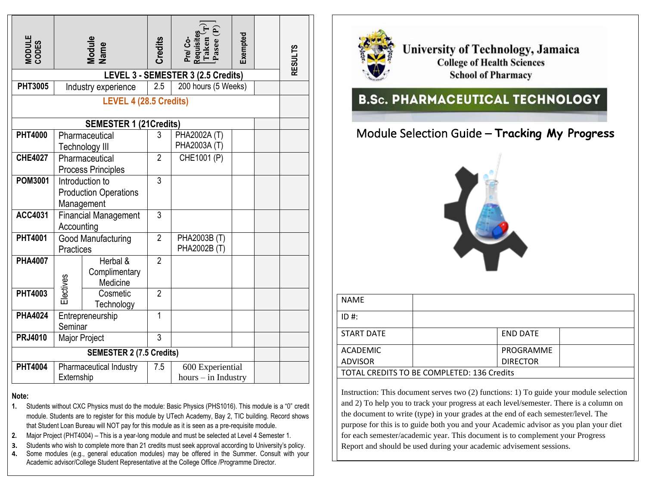| MODULE<br>CODES                                                                                                                                                                                                                                                                                                                                                                                                                                                                                                                                                                                                                                                                                                                                                 | Module<br>Name                                                                          |                                       | <b>Credits</b> | Pre/ Co-<br>Requisites<br>Taken (T)<br>Pasee (P) | Exempted |  | <b>RESULTS</b> |
|-----------------------------------------------------------------------------------------------------------------------------------------------------------------------------------------------------------------------------------------------------------------------------------------------------------------------------------------------------------------------------------------------------------------------------------------------------------------------------------------------------------------------------------------------------------------------------------------------------------------------------------------------------------------------------------------------------------------------------------------------------------------|-----------------------------------------------------------------------------------------|---------------------------------------|----------------|--------------------------------------------------|----------|--|----------------|
| <b>PHT3005</b>                                                                                                                                                                                                                                                                                                                                                                                                                                                                                                                                                                                                                                                                                                                                                  | LEVEL 3 - SEMESTER 3 (2.5 Credits)<br>2.5<br>200 hours (5 Weeks)<br>Industry experience |                                       |                |                                                  |          |  |                |
| LEVEL 4 (28.5 Credits)                                                                                                                                                                                                                                                                                                                                                                                                                                                                                                                                                                                                                                                                                                                                          |                                                                                         |                                       |                |                                                  |          |  |                |
|                                                                                                                                                                                                                                                                                                                                                                                                                                                                                                                                                                                                                                                                                                                                                                 |                                                                                         | <b>SEMESTER 1 (21Credits)</b>         |                |                                                  |          |  |                |
| <b>PHT4000</b>                                                                                                                                                                                                                                                                                                                                                                                                                                                                                                                                                                                                                                                                                                                                                  | Pharmaceutical<br>Technology III                                                        |                                       | 3              | PHA2002A (T)<br>PHA2003A (T)                     |          |  |                |
| <b>CHE4027</b>                                                                                                                                                                                                                                                                                                                                                                                                                                                                                                                                                                                                                                                                                                                                                  | Pharmaceutical<br><b>Process Principles</b>                                             |                                       | $\overline{2}$ | CHE1001 (P)                                      |          |  |                |
| POM3001                                                                                                                                                                                                                                                                                                                                                                                                                                                                                                                                                                                                                                                                                                                                                         | Introduction to<br><b>Production Operations</b><br>Management                           |                                       | $\overline{3}$ |                                                  |          |  |                |
| ACC4031                                                                                                                                                                                                                                                                                                                                                                                                                                                                                                                                                                                                                                                                                                                                                         | <b>Financial Management</b><br>Accounting                                               |                                       | 3              |                                                  |          |  |                |
| <b>PHT4001</b>                                                                                                                                                                                                                                                                                                                                                                                                                                                                                                                                                                                                                                                                                                                                                  | <b>Good Manufacturing</b><br><b>Practices</b>                                           |                                       | $\overline{2}$ | PHA2003B (T)<br>PHA2002B (T)                     |          |  |                |
| <b>PHA4007</b>                                                                                                                                                                                                                                                                                                                                                                                                                                                                                                                                                                                                                                                                                                                                                  |                                                                                         | Herbal &<br>Complimentary<br>Medicine | $\overline{2}$ |                                                  |          |  |                |
| <b>PHT4003</b>                                                                                                                                                                                                                                                                                                                                                                                                                                                                                                                                                                                                                                                                                                                                                  | Electives                                                                               | Cosmetic<br>Technology                | $\overline{2}$ |                                                  |          |  |                |
| <b>PHA4024</b>                                                                                                                                                                                                                                                                                                                                                                                                                                                                                                                                                                                                                                                                                                                                                  | Entrepreneurship<br>Seminar                                                             |                                       | $\mathbf{1}$   |                                                  |          |  |                |
| <b>PRJ4010</b>                                                                                                                                                                                                                                                                                                                                                                                                                                                                                                                                                                                                                                                                                                                                                  |                                                                                         | Major Project                         | 3              |                                                  |          |  |                |
|                                                                                                                                                                                                                                                                                                                                                                                                                                                                                                                                                                                                                                                                                                                                                                 |                                                                                         | <b>SEMESTER 2 (7.5 Credits)</b>       |                |                                                  |          |  |                |
| <b>PHT4004</b>                                                                                                                                                                                                                                                                                                                                                                                                                                                                                                                                                                                                                                                                                                                                                  | Pharmaceutical Industry<br>Externship                                                   |                                       | 7.5            | 600 Experiential<br>$hours - in Industry$        |          |  |                |
| Note:<br>1.<br>Students without CXC Physics must do the module: Basic Physics (PHS1016). This module is a "0" credit<br>module. Students are to register for this module by UTech Academy, Bay 2, TIC building. Record shows<br>that Student Loan Bureau will NOT pay for this module as it is seen as a pre-requisite module.<br>Major Project (PHT4004) - This is a year-long module and must be selected at Level 4 Semester 1.<br>2.<br>Students who wish to complete more than 21 credits must seek approval according to University's policy.<br>3.<br>Some modules (e.g., general education modules) may be offered in the Summer. Consult with your<br>4.<br>Academic advisor/College Student Representative at the College Office /Programme Director. |                                                                                         |                                       |                |                                                  |          |  |                |

## **Note:**

- **1.** Students without CXC Physics must do the module: Basic Physics (PHS1016). This module is a "0" credit module. Students are to register for this module by UTech Academy, Bay 2, TIC building. Record shows that Student Loan Bureau will NOT pay for this module as it is seen as a pre-requisite module.
- **2.** Major Project (PHT4004) This is a year-long module and must be selected at Level 4 Semester 1.
- **3.** Students who wish to complete more than 21 credits must seek approval according to University's policy.
- **4.** Some modules (e.g., general education modules) may be offered in the Summer. Consult with your Academic advisor/College Student Representative at the College Office /Programme Director.



University of Technology, Jamaica **College of Health Sciences School of Pharmacy** 

## **B.Sc. PHARMACEUTICAL TECHNOLOGY**

## Module Selection Guide – **Tracking My Progress**



| <b>NAME</b>                                |  |                 |  |  |
|--------------------------------------------|--|-----------------|--|--|
| $ID#$ :                                    |  |                 |  |  |
| <b>START DATE</b>                          |  | <b>END DATE</b> |  |  |
| <b>ACADEMIC</b>                            |  | PROGRAMME       |  |  |
| <b>ADVISOR</b>                             |  | <b>DIRECTOR</b> |  |  |
| TOTAL CREDITS TO BE COMPLETED: 136 Credits |  |                 |  |  |

Instruction: This document serves two (2) functions: 1) To guide your module selection and 2) To help you to track your progress at each level/semester. There is a column on the document to write (type) in your grades at the end of each semester/level. The purpose for this is to guide both you and your Academic advisor as you plan your diet for each semester/academic year. This document is to complement your Progress Report and should be used during your academic advisement sessions.